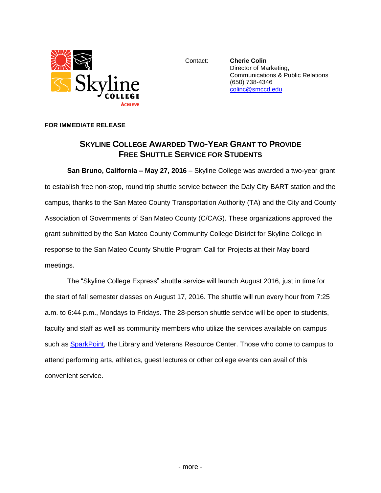

Contact: **Cherie Colin** Director of Marketing, Communications & Public Relations (650) 738-4346 [colinc@smccd.edu](mailto:colinc@smccd.edu)

## **FOR IMMEDIATE RELEASE**

## **SKYLINE COLLEGE AWARDED TWO-YEAR GRANT TO PROVIDE FREE SHUTTLE SERVICE FOR STUDENTS**

**San Bruno, California – May 27, 2016** – Skyline College was awarded a two-year grant to establish free non-stop, round trip shuttle service between the Daly City BART station and the campus, thanks to the San Mateo County Transportation Authority (TA) and the City and County Association of Governments of San Mateo County (C/CAG). These organizations approved the grant submitted by the San Mateo County Community College District for Skyline College in response to the San Mateo County Shuttle Program Call for Projects at their May board meetings.

The "Skyline College Express" shuttle service will launch August 2016, just in time for the start of fall semester classes on August 17, 2016. The shuttle will run every hour from 7:25 a.m. to 6:44 p.m., Mondays to Fridays. The 28-person shuttle service will be open to students, faculty and staff as well as community members who utilize the services available on campus such as **SparkPoint**, the Library and Veterans Resource Center. Those who come to campus to attend performing arts, athletics, guest lectures or other college events can avail of this convenient service.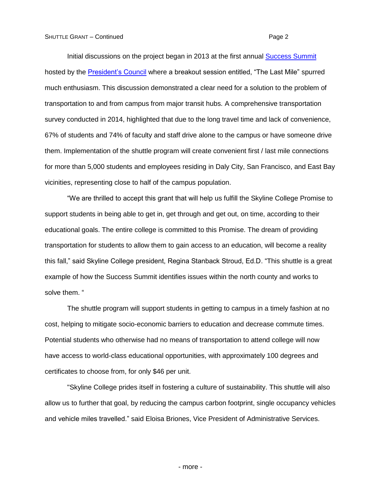Initial discussions on the project began in 2013 at the first annual [Success Summit](https://skylinesuccesssummit.com/) hosted by the [President's Council](http://www.skylinecollege.edu/presidentscouncil/index.php) where a breakout session entitled, "The Last Mile" spurred much enthusiasm. This discussion demonstrated a clear need for a solution to the problem of transportation to and from campus from major transit hubs. A comprehensive transportation survey conducted in 2014, highlighted that due to the long travel time and lack of convenience, 67% of students and 74% of faculty and staff drive alone to the campus or have someone drive them. Implementation of the shuttle program will create convenient first / last mile connections for more than 5,000 students and employees residing in Daly City, San Francisco, and East Bay vicinities, representing close to half of the campus population.

"We are thrilled to accept this grant that will help us fulfill the Skyline College Promise to support students in being able to get in, get through and get out, on time, according to their educational goals. The entire college is committed to this Promise. The dream of providing transportation for students to allow them to gain access to an education, will become a reality this fall," said Skyline College president, Regina Stanback Stroud, Ed.D. "This shuttle is a great example of how the Success Summit identifies issues within the north county and works to solve them. "

The shuttle program will support students in getting to campus in a timely fashion at no cost, helping to mitigate socio-economic barriers to education and decrease commute times. Potential students who otherwise had no means of transportation to attend college will now have access to world-class educational opportunities, with approximately 100 degrees and certificates to choose from, for only \$46 per unit.

"Skyline College prides itself in fostering a culture of sustainability. This shuttle will also allow us to further that goal, by reducing the campus carbon footprint, single occupancy vehicles and vehicle miles travelled." said Eloisa Briones, Vice President of Administrative Services.